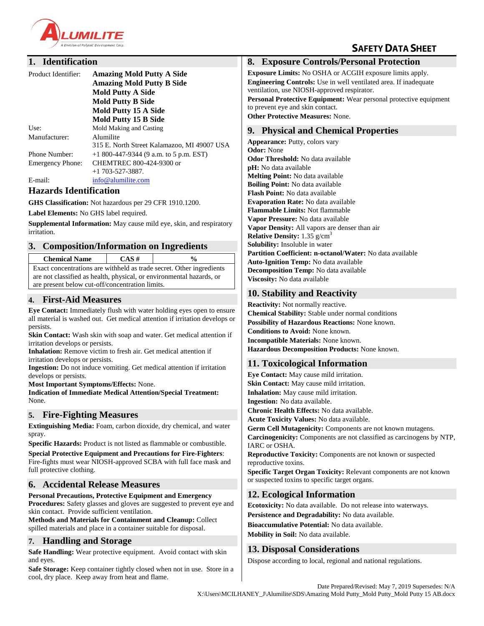

# **SAFETY DATA SHEET**

# **1. Identification**

| Product Identifier:     | <b>Amazing Mold Putty A Side</b><br><b>Amazing Mold Putty B Side</b> |
|-------------------------|----------------------------------------------------------------------|
|                         | <b>Mold Putty A Side</b>                                             |
|                         | <b>Mold Putty B Side</b>                                             |
|                         | Mold Putty 15 A Side                                                 |
|                         | <b>Mold Putty 15 B Side</b>                                          |
| Use:                    | Mold Making and Casting                                              |
| Manufacturer:           | Alumilite                                                            |
|                         | 315 E. North Street Kalamazoo, MI 49007 USA                          |
| Phone Number:           | $+1800-447-9344$ (9 a.m. to 5 p.m. EST)                              |
| <b>Emergency Phone:</b> | CHEMTREC 800-424-9300 or                                             |
|                         | $+1$ 703-527-3887.                                                   |
| E-mail:                 | info@alumilite.com                                                   |

#### **Hazards Identification**

**GHS Classification:** Not hazardous per 29 CFR 1910.1200.

**Label Elements:** No GHS label required.

**Supplemental Information:** May cause mild eye, skin, and respiratory irritation.

#### **3. Composition/Information on Ingredients**

**Chemical Name CAS # %**

Exact concentrations are withheld as trade secret. Other ingredients are not classified as health, physical, or environmental hazards, or are present below cut-off/concentration limits.

#### **4. First-Aid Measures**

**Eye Contact:** Immediately flush with water holding eyes open to ensure all material is washed out. Get medical attention if irritation develops or persists.

**Skin Contact:** Wash skin with soap and water. Get medical attention if irritation develops or persists.

**Inhalation:** Remove victim to fresh air. Get medical attention if irritation develops or persists.

**Ingestion:** Do not induce vomiting. Get medical attention if irritation develops or persists.

**Most Important Symptoms/Effects:** None.

**Indication of Immediate Medical Attention/Special Treatment:** None.

#### **5. Fire-Fighting Measures**

**Extinguishing Media:** Foam, carbon dioxide, dry chemical, and water spray.

**Specific Hazards:** Product is not listed as flammable or combustible. **Special Protective Equipment and Precautions for Fire-Fighters**: Fire-fights must wear NIOSH-approved SCBA with full face mask and full protective clothing.

# **6. Accidental Release Measures**

**Personal Precautions, Protective Equipment and Emergency Procedures:** Safety glasses and gloves are suggested to prevent eye and skin contact. Provide sufficient ventilation.

**Methods and Materials for Containment and Cleanup:** Collect spilled materials and place in a container suitable for disposal.

#### **7. Handling and Storage**

**Safe Handling:** Wear protective equipment. Avoid contact with skin and eyes.

**Safe Storage:** Keep container tightly closed when not in use. Store in a cool, dry place. Keep away from heat and flame.

# **8. Exposure Controls/Personal Protection**

**Exposure Limits:** No OSHA or ACGIH exposure limits apply. **Engineering Controls:** Use in well ventilated area. If inadequate ventilation, use NIOSH-approved respirator.

**Personal Protective Equipment:** Wear personal protective equipment to prevent eye and skin contact.

**Other Protective Measures:** None.

# **9. Physical and Chemical Properties**

**Appearance:** Putty, colors vary **Odor:** None **Odor Threshold:** No data available **pH:** No data available **Melting Point:** No data available **Boiling Point:** No data available **Flash Point:** No data available **Evaporation Rate:** No data available **Flammable Limits:** Not flammable **Vapor Pressure:** No data available **Vapor Density:** All vapors are denser than air **Relative Density:** 1.35 g/cm<sup>3</sup> **Solubility:** Insoluble in water **Partition Coefficient: n-octanol/Water:** No data available **Auto-Ignition Temp:** No data available **Decomposition Temp:** No data available **Viscosity:** No data available

# **10. Stability and Reactivity**

**Reactivity:** Not normally reactive. **Chemical Stability:** Stable under normal conditions **Possibility of Hazardous Reactions:** None known. **Conditions to Avoid:** None known. **Incompatible Materials:** None known. **Hazardous Decomposition Products:** None known.

# **11. Toxicological Information**

**Eye Contact:** May cause mild irritation. **Skin Contact:** May cause mild irritation. **Inhalation:** May cause mild irritation. **Ingestion:** No data available. **Chronic Health Effects:** No data available. **Acute Toxicity Values:** No data available. **Germ Cell Mutagenicity:** Components are not known mutagens. **Carcinogenicity:** Components are not classified as carcinogens by NTP, IARC or OSHA. **Reproductive Toxicity:** Components are not known or suspected reproductive toxins. **Specific Target Organ Toxicity:** Relevant components are not known or suspected toxins to specific target organs.

# **12. Ecological Information**

**Ecotoxicity:** No data available. Do not release into waterways. **Persistence and Degradability:** No data available. **Bioaccumulative Potential:** No data available. **Mobility in Soil:** No data available.

# **13. Disposal Considerations**

Dispose according to local, regional and national regulations.